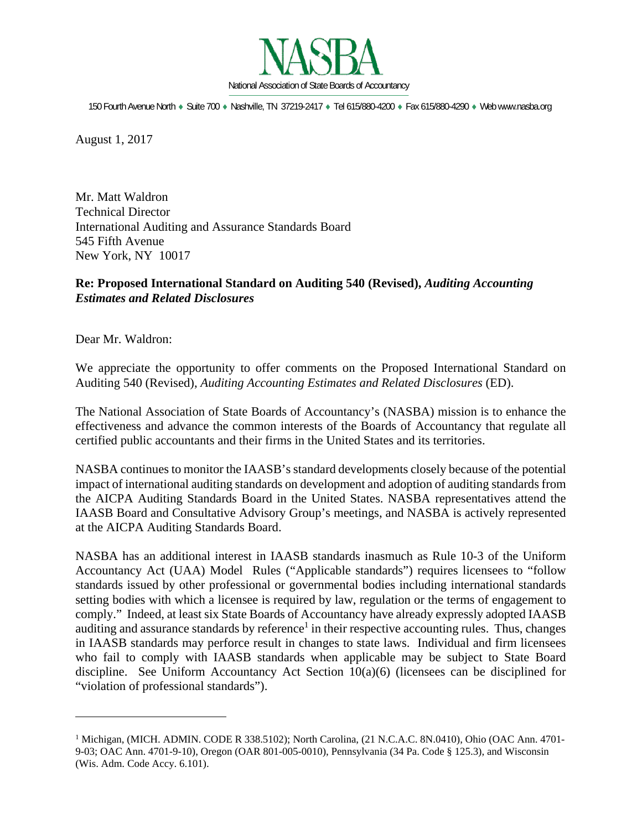

150 Fourth Avenue North Suite 700 Nashville, TN 37219-2417 Tel 615/880-4200 Fax 615/880-4290 Web www.nasba.org

August 1, 2017

Mr. Matt Waldron Technical Director International Auditing and Assurance Standards Board 545 Fifth Avenue New York, NY 10017

### **Re: Proposed International Standard on Auditing 540 (Revised),** *Auditing Accounting Estimates and Related Disclosures*

Dear Mr. Waldron:

 $\overline{a}$ 

We appreciate the opportunity to offer comments on the Proposed International Standard on Auditing 540 (Revised), *Auditing Accounting Estimates and Related Disclosures* (ED).

The National Association of State Boards of Accountancy's (NASBA) mission is to enhance the effectiveness and advance the common interests of the Boards of Accountancy that regulate all certified public accountants and their firms in the United States and its territories.

NASBA continues to monitor the IAASB's standard developments closely because of the potential impact of international auditing standards on development and adoption of auditing standards from the AICPA Auditing Standards Board in the United States. NASBA representatives attend the IAASB Board and Consultative Advisory Group's meetings, and NASBA is actively represented at the AICPA Auditing Standards Board.

NASBA has an additional interest in IAASB standards inasmuch as Rule 10-3 of the Uniform Accountancy Act (UAA) Model Rules ("Applicable standards") requires licensees to "follow standards issued by other professional or governmental bodies including international standards setting bodies with which a licensee is required by law, regulation or the terms of engagement to comply." Indeed, at least six State Boards of Accountancy have already expressly adopted IAASB auditing and assurance standards by reference<sup>1</sup> in their respective accounting rules. Thus, changes in IAASB standards may perforce result in changes to state laws. Individual and firm licensees who fail to comply with IAASB standards when applicable may be subject to State Board discipline. See Uniform Accountancy Act Section 10(a)(6) (licensees can be disciplined for "violation of professional standards").

<sup>&</sup>lt;sup>1</sup> Michigan, (MICH. ADMIN. CODE R 338.5102); North Carolina, (21 N.C.A.C. 8N.0410), Ohio (OAC Ann. 4701-9-03; OAC Ann. 4701-9-10), Oregon (OAR 801-005-0010), Pennsylvania (34 Pa. Code § 125.3), and Wisconsin (Wis. Adm. Code Accy. 6.101).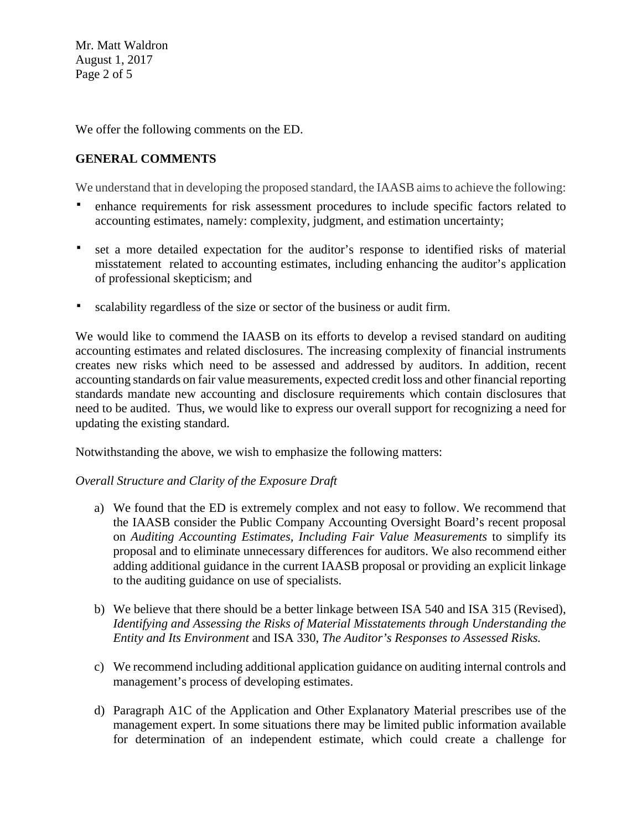Mr. Matt Waldron August 1, 2017 Page 2 of 5

We offer the following comments on the ED.

# **GENERAL COMMENTS**

We understand that in developing the proposed standard, the IAASB aims to achieve the following:

- enhance requirements for risk assessment procedures to include specific factors related to accounting estimates, namely: complexity, judgment, and estimation uncertainty;
- set a more detailed expectation for the auditor's response to identified risks of material misstatement related to accounting estimates, including enhancing the auditor's application of professional skepticism; and
- scalability regardless of the size or sector of the business or audit firm.

We would like to commend the IAASB on its efforts to develop a revised standard on auditing accounting estimates and related disclosures. The increasing complexity of financial instruments creates new risks which need to be assessed and addressed by auditors. In addition, recent accounting standards on fair value measurements, expected credit loss and other financial reporting standards mandate new accounting and disclosure requirements which contain disclosures that need to be audited. Thus, we would like to express our overall support for recognizing a need for updating the existing standard.

Notwithstanding the above, we wish to emphasize the following matters:

## *Overall Structure and Clarity of the Exposure Draft*

- a) We found that the ED is extremely complex and not easy to follow. We recommend that the IAASB consider the Public Company Accounting Oversight Board's recent proposal on *Auditing Accounting Estimates, Including Fair Value Measurements* to simplify its proposal and to eliminate unnecessary differences for auditors. We also recommend either adding additional guidance in the current IAASB proposal or providing an explicit linkage to the auditing guidance on use of specialists.
- b) We believe that there should be a better linkage between ISA 540 and ISA 315 (Revised), *Identifying and Assessing the Risks of Material Misstatements through Understanding the Entity and Its Environment* and ISA 330, *The Auditor's Responses to Assessed Risks.*
- c) We recommend including additional application guidance on auditing internal controls and management's process of developing estimates.
- d) Paragraph A1C of the Application and Other Explanatory Material prescribes use of the management expert. In some situations there may be limited public information available for determination of an independent estimate, which could create a challenge for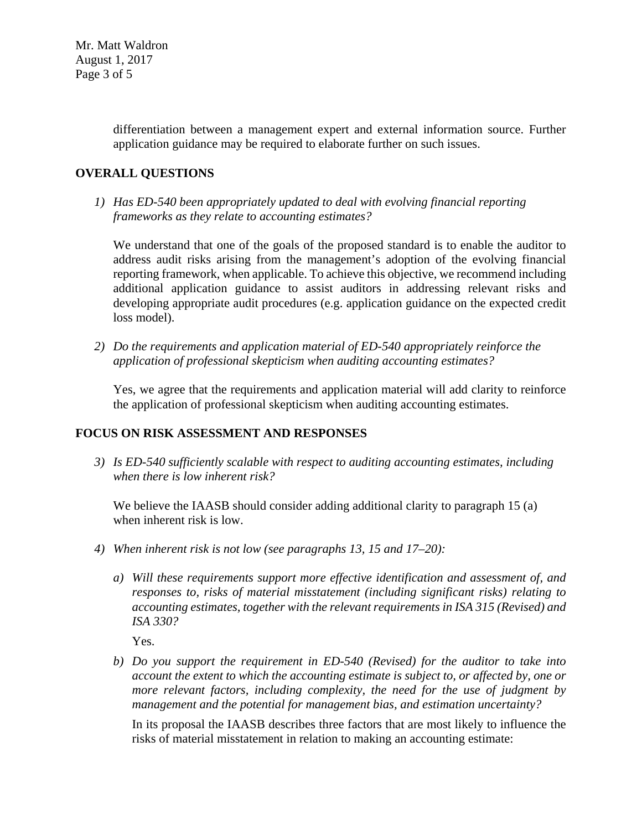Mr. Matt Waldron August 1, 2017 Page 3 of 5

> differentiation between a management expert and external information source. Further application guidance may be required to elaborate further on such issues.

### **OVERALL QUESTIONS**

*1) Has ED-540 been appropriately updated to deal with evolving financial reporting frameworks as they relate to accounting estimates?* 

We understand that one of the goals of the proposed standard is to enable the auditor to address audit risks arising from the management's adoption of the evolving financial reporting framework, when applicable. To achieve this objective, we recommend including additional application guidance to assist auditors in addressing relevant risks and developing appropriate audit procedures (e.g. application guidance on the expected credit loss model).

*2) Do the requirements and application material of ED-540 appropriately reinforce the application of professional skepticism when auditing accounting estimates?* 

Yes, we agree that the requirements and application material will add clarity to reinforce the application of professional skepticism when auditing accounting estimates.

# **FOCUS ON RISK ASSESSMENT AND RESPONSES**

*3) Is ED-540 sufficiently scalable with respect to auditing accounting estimates, including when there is low inherent risk?* 

We believe the IAASB should consider adding additional clarity to paragraph 15 (a) when inherent risk is low.

- *4) When inherent risk is not low (see paragraphs 13, 15 and 17–20):* 
	- *a) Will these requirements support more effective identification and assessment of, and responses to, risks of material misstatement (including significant risks) relating to accounting estimates, together with the relevant requirements in ISA 315 (Revised) and ISA 330?*

Yes.

*b) Do you support the requirement in ED-540 (Revised) for the auditor to take into account the extent to which the accounting estimate is subject to, or affected by, one or more relevant factors, including complexity, the need for the use of judgment by management and the potential for management bias, and estimation uncertainty?* 

In its proposal the IAASB describes three factors that are most likely to influence the risks of material misstatement in relation to making an accounting estimate: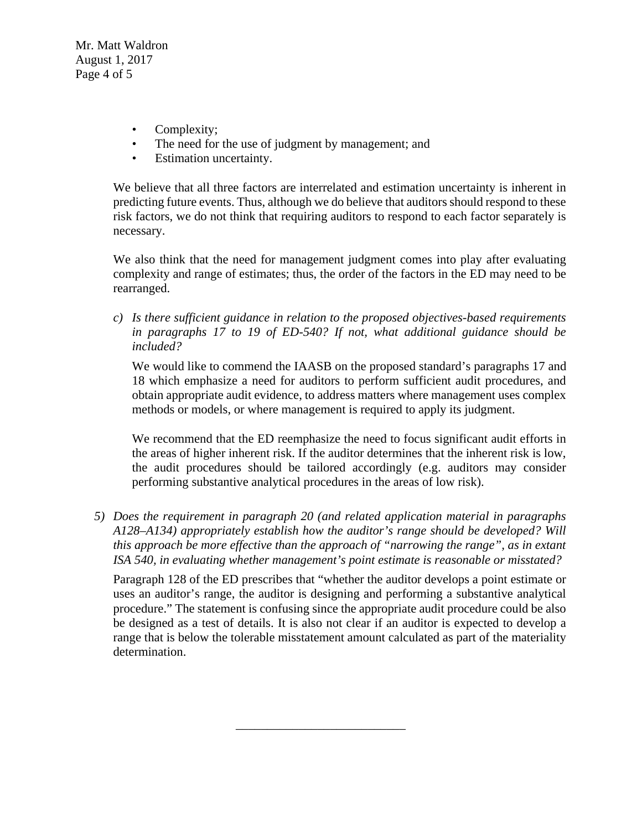Mr. Matt Waldron August 1, 2017 Page 4 of 5

- Complexity:
- The need for the use of judgment by management; and
- Estimation uncertainty.

We believe that all three factors are interrelated and estimation uncertainty is inherent in predicting future events. Thus, although we do believe that auditors should respond to these risk factors, we do not think that requiring auditors to respond to each factor separately is necessary.

We also think that the need for management judgment comes into play after evaluating complexity and range of estimates; thus, the order of the factors in the ED may need to be rearranged.

*c) Is there sufficient guidance in relation to the proposed objectives-based requirements in paragraphs 17 to 19 of ED-540? If not, what additional guidance should be included?* 

We would like to commend the IAASB on the proposed standard's paragraphs 17 and 18 which emphasize a need for auditors to perform sufficient audit procedures, and obtain appropriate audit evidence, to address matters where management uses complex methods or models, or where management is required to apply its judgment.

We recommend that the ED reemphasize the need to focus significant audit efforts in the areas of higher inherent risk. If the auditor determines that the inherent risk is low, the audit procedures should be tailored accordingly (e.g. auditors may consider performing substantive analytical procedures in the areas of low risk).

*5) Does the requirement in paragraph 20 (and related application material in paragraphs A128–A134) appropriately establish how the auditor's range should be developed? Will this approach be more effective than the approach of "narrowing the range", as in extant ISA 540, in evaluating whether management's point estimate is reasonable or misstated?* 

Paragraph 128 of the ED prescribes that "whether the auditor develops a point estimate or uses an auditor's range, the auditor is designing and performing a substantive analytical procedure." The statement is confusing since the appropriate audit procedure could be also be designed as a test of details. It is also not clear if an auditor is expected to develop a range that is below the tolerable misstatement amount calculated as part of the materiality determination.

\_\_\_\_\_\_\_\_\_\_\_\_\_\_\_\_\_\_\_\_\_\_\_\_\_\_\_